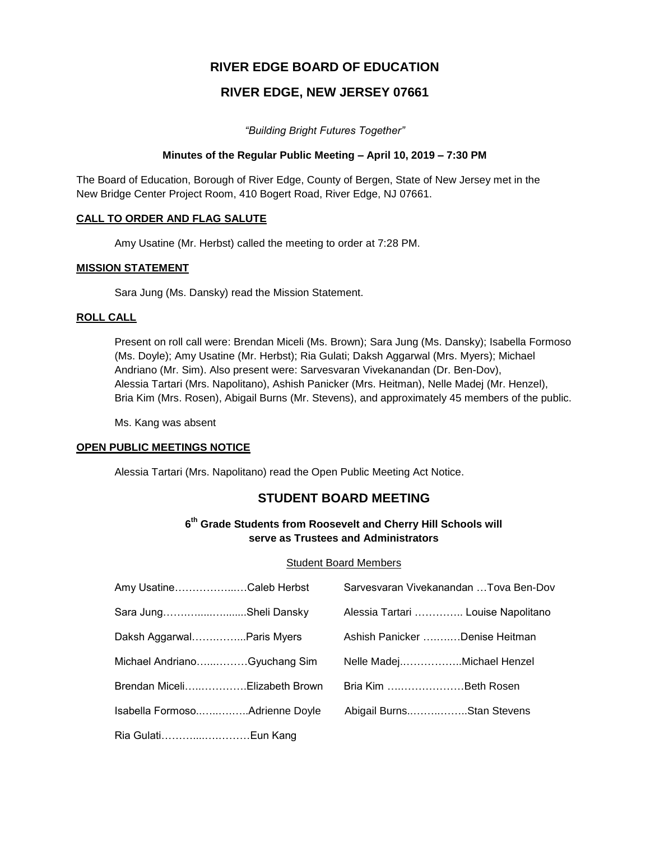# **RIVER EDGE BOARD OF EDUCATION**

# **RIVER EDGE, NEW JERSEY 07661**

*"Building Bright Futures Together"*

### **Minutes of the Regular Public Meeting – April 10, 2019 – 7:30 PM**

The Board of Education, Borough of River Edge, County of Bergen, State of New Jersey met in the New Bridge Center Project Room, 410 Bogert Road, River Edge, NJ 07661.

### **CALL TO ORDER AND FLAG SALUTE**

Amy Usatine (Mr. Herbst) called the meeting to order at 7:28 PM.

### **MISSION STATEMENT**

Sara Jung (Ms. Dansky) read the Mission Statement.

### **ROLL CALL**

Present on roll call were: Brendan Miceli (Ms. Brown); Sara Jung (Ms. Dansky); Isabella Formoso (Ms. Doyle); Amy Usatine (Mr. Herbst); Ria Gulati; Daksh Aggarwal (Mrs. Myers); Michael Andriano (Mr. Sim). Also present were: Sarvesvaran Vivekanandan (Dr. Ben-Dov), Alessia Tartari (Mrs. Napolitano), Ashish Panicker (Mrs. Heitman), Nelle Madej (Mr. Henzel), Bria Kim (Mrs. Rosen), Abigail Burns (Mr. Stevens), and approximately 45 members of the public.

Ms. Kang was absent

# **OPEN PUBLIC MEETINGS NOTICE**

Alessia Tartari (Mrs. Napolitano) read the Open Public Meeting Act Notice.

# **STUDENT BOARD MEETING**

# **6 th Grade Students from Roosevelt and Cherry Hill Schools will serve as Trustees and Administrators**

### Student Board Members

| Amy UsatineCaleb Herbst       | Sarvesvaran Vivekanandan Tova Ben-Dov |  |
|-------------------------------|---------------------------------------|--|
| Sara JungSheli Dansky         | Alessia Tartari  Louise Napolitano    |  |
| Daksh AggarwalParis Myers     | Ashish Panicker Denise Heitman        |  |
| Michael AndrianoGyuchang Sim  | Nelle MadejMichael Henzel             |  |
| Brendan MiceliElizabeth Brown | Bria Kim Beth Rosen                   |  |
|                               | Abigail BurnsStan Stevens             |  |
| Ria GulatiEun Kang            |                                       |  |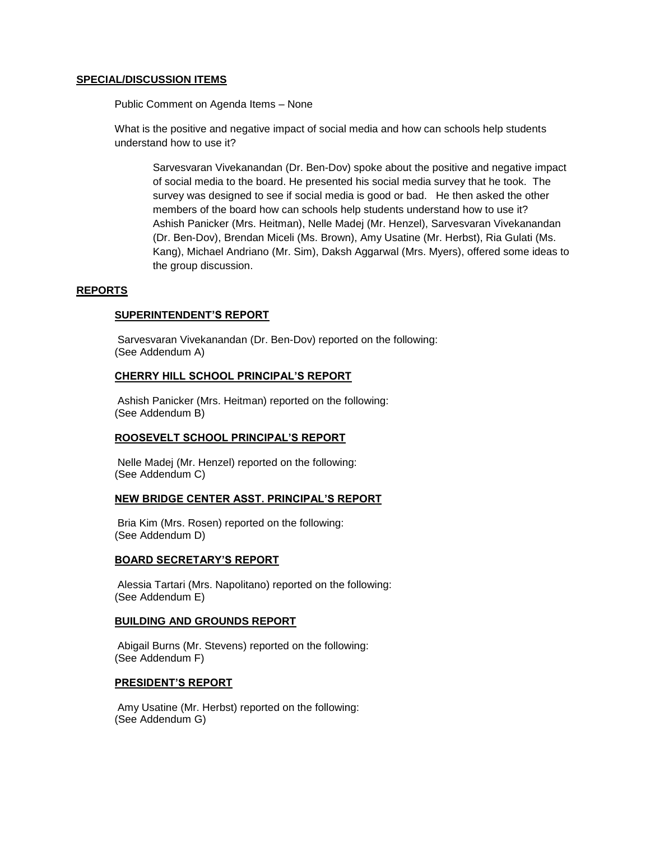#### **SPECIAL/DISCUSSION ITEMS**

Public Comment on Agenda Items – None

What is the positive and negative impact of social media and how can schools help students understand how to use it?

Sarvesvaran Vivekanandan (Dr. Ben-Dov) spoke about the positive and negative impact of social media to the board. He presented his social media survey that he took. The survey was designed to see if social media is good or bad. He then asked the other members of the board how can schools help students understand how to use it? Ashish Panicker (Mrs. Heitman), Nelle Madej (Mr. Henzel), Sarvesvaran Vivekanandan (Dr. Ben-Dov), Brendan Miceli (Ms. Brown), Amy Usatine (Mr. Herbst), Ria Gulati (Ms. Kang), Michael Andriano (Mr. Sim), Daksh Aggarwal (Mrs. Myers), offered some ideas to the group discussion.

#### **REPORTS**

#### **SUPERINTENDENT'S REPORT**

Sarvesvaran Vivekanandan (Dr. Ben-Dov) reported on the following: (See Addendum A)

#### **CHERRY HILL SCHOOL PRINCIPAL'S REPORT**

Ashish Panicker (Mrs. Heitman) reported on the following: (See Addendum B)

### **ROOSEVELT SCHOOL PRINCIPAL'S REPORT**

Nelle Madej (Mr. Henzel) reported on the following: (See Addendum C)

#### **NEW BRIDGE CENTER ASST. PRINCIPAL'S REPORT**

Bria Kim (Mrs. Rosen) reported on the following: (See Addendum D)

#### **BOARD SECRETARY'S REPORT**

Alessia Tartari (Mrs. Napolitano) reported on the following: (See Addendum E)

#### **BUILDING AND GROUNDS REPORT**

Abigail Burns (Mr. Stevens) reported on the following: (See Addendum F)

#### **PRESIDENT'S REPORT**

Amy Usatine (Mr. Herbst) reported on the following: (See Addendum G)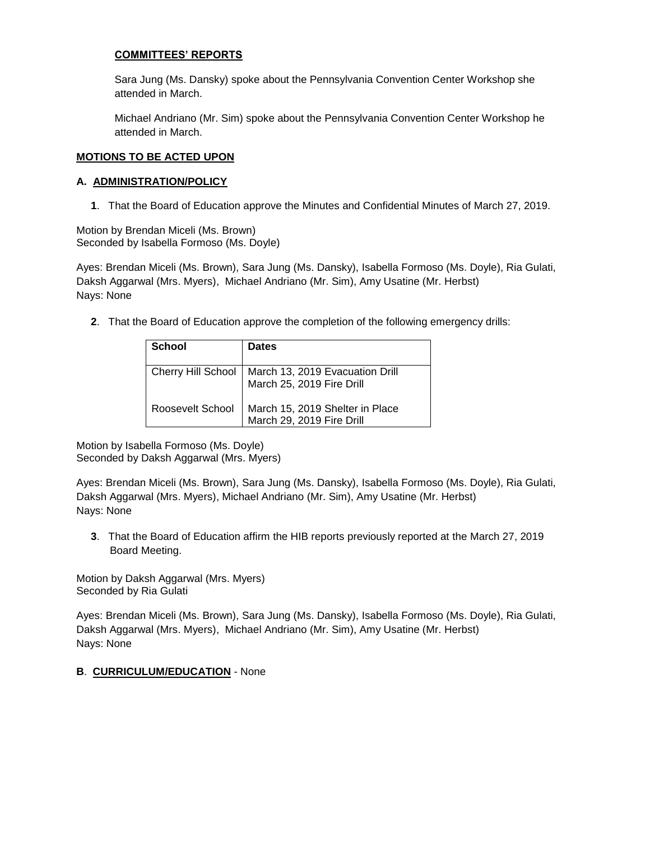# **COMMITTEES' REPORTS**

Sara Jung (Ms. Dansky) spoke about the Pennsylvania Convention Center Workshop she attended in March.

Michael Andriano (Mr. Sim) spoke about the Pennsylvania Convention Center Workshop he attended in March.

### **MOTIONS TO BE ACTED UPON**

### **A. ADMINISTRATION/POLICY**

**1**. That the Board of Education approve the Minutes and Confidential Minutes of March 27, 2019.

Motion by Brendan Miceli (Ms. Brown) Seconded by Isabella Formoso (Ms. Doyle)

Ayes: Brendan Miceli (Ms. Brown), Sara Jung (Ms. Dansky), Isabella Formoso (Ms. Doyle), Ria Gulati, Daksh Aggarwal (Mrs. Myers), Michael Andriano (Mr. Sim), Amy Usatine (Mr. Herbst) Nays: None

**2**. That the Board of Education approve the completion of the following emergency drills:

| <b>School</b>    | <b>Dates</b>                                                                        |
|------------------|-------------------------------------------------------------------------------------|
|                  | Cherry Hill School   March 13, 2019 Evacuation Drill<br>  March 25, 2019 Fire Drill |
| Roosevelt School | March 15, 2019 Shelter in Place<br>March 29, 2019 Fire Drill                        |

Motion by Isabella Formoso (Ms. Doyle) Seconded by Daksh Aggarwal (Mrs. Myers)

Ayes: Brendan Miceli (Ms. Brown), Sara Jung (Ms. Dansky), Isabella Formoso (Ms. Doyle), Ria Gulati, Daksh Aggarwal (Mrs. Myers), Michael Andriano (Mr. Sim), Amy Usatine (Mr. Herbst) Nays: None

**3**. That the Board of Education affirm the HIB reports previously reported at the March 27, 2019 Board Meeting.

Motion by Daksh Aggarwal (Mrs. Myers) Seconded by Ria Gulati

Ayes: Brendan Miceli (Ms. Brown), Sara Jung (Ms. Dansky), Isabella Formoso (Ms. Doyle), Ria Gulati, Daksh Aggarwal (Mrs. Myers), Michael Andriano (Mr. Sim), Amy Usatine (Mr. Herbst) Nays: None

# **B**. **CURRICULUM/EDUCATION** - None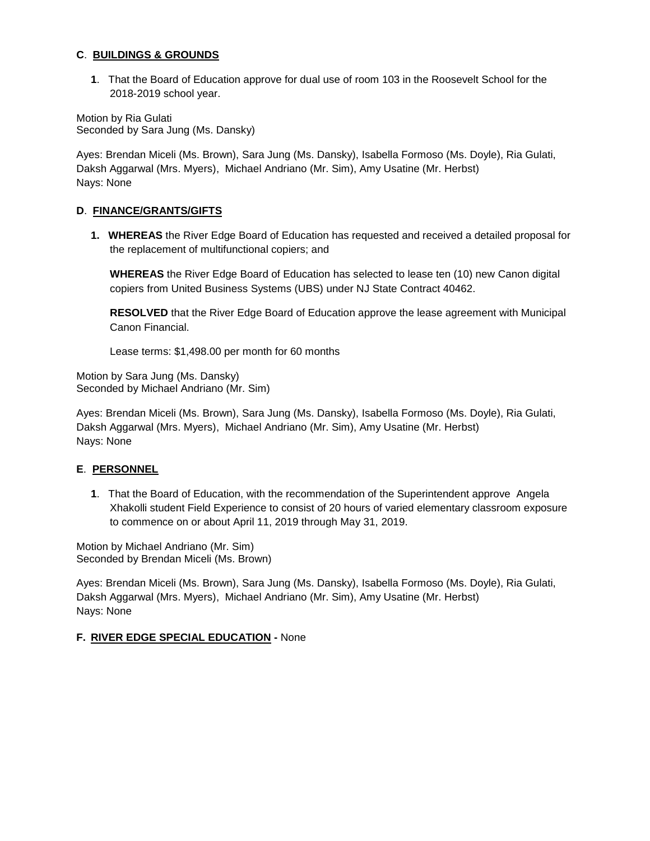### **C**. **BUILDINGS & GROUNDS**

**1**. That the Board of Education approve for dual use of room 103 in the Roosevelt School for the 2018-2019 school year.

Motion by Ria Gulati Seconded by Sara Jung (Ms. Dansky)

Ayes: Brendan Miceli (Ms. Brown), Sara Jung (Ms. Dansky), Isabella Formoso (Ms. Doyle), Ria Gulati, Daksh Aggarwal (Mrs. Myers), Michael Andriano (Mr. Sim), Amy Usatine (Mr. Herbst) Nays: None

### **D**. **FINANCE/GRANTS/GIFTS**

**1. WHEREAS** the River Edge Board of Education has requested and received a detailed proposal for the replacement of multifunctional copiers; and

**WHEREAS** the River Edge Board of Education has selected to lease ten (10) new Canon digital copiers from United Business Systems (UBS) under NJ State Contract 40462.

**RESOLVED** that the River Edge Board of Education approve the lease agreement with Municipal Canon Financial.

Lease terms: \$1,498.00 per month for 60 months

Motion by Sara Jung (Ms. Dansky) Seconded by Michael Andriano (Mr. Sim)

Ayes: Brendan Miceli (Ms. Brown), Sara Jung (Ms. Dansky), Isabella Formoso (Ms. Doyle), Ria Gulati, Daksh Aggarwal (Mrs. Myers), Michael Andriano (Mr. Sim), Amy Usatine (Mr. Herbst) Nays: None

# **E**. **PERSONNEL**

**1**. That the Board of Education, with the recommendation of the Superintendent approve Angela Xhakolli student Field Experience to consist of 20 hours of varied elementary classroom exposure to commence on or about April 11, 2019 through May 31, 2019.

Motion by Michael Andriano (Mr. Sim) Seconded by Brendan Miceli (Ms. Brown)

Ayes: Brendan Miceli (Ms. Brown), Sara Jung (Ms. Dansky), Isabella Formoso (Ms. Doyle), Ria Gulati, Daksh Aggarwal (Mrs. Myers), Michael Andriano (Mr. Sim), Amy Usatine (Mr. Herbst) Nays: None

# **F. RIVER EDGE SPECIAL EDUCATION -** None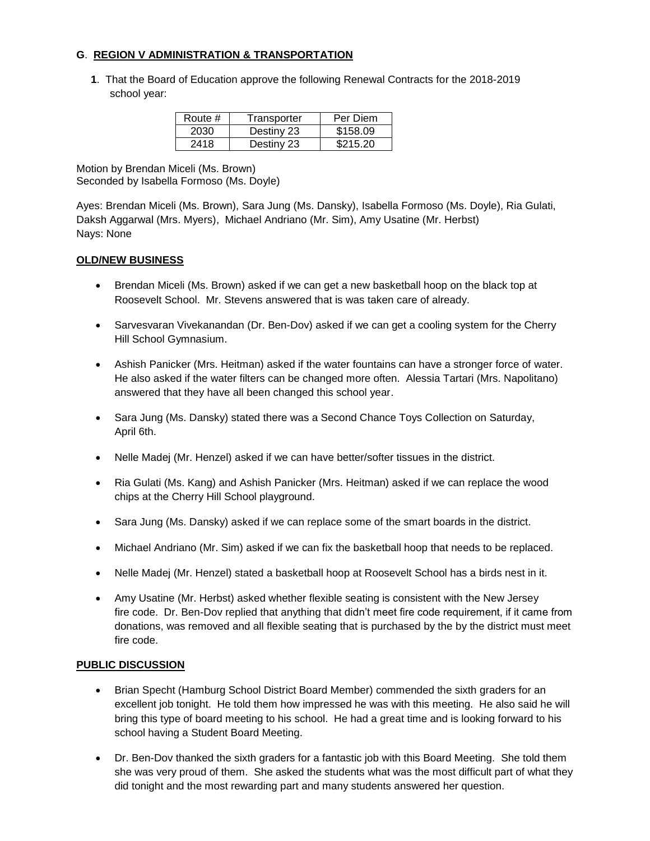# **G**. **REGION V ADMINISTRATION & TRANSPORTATION**

**1**. That the Board of Education approve the following Renewal Contracts for the 2018-2019 school year:

| Route # | Transporter | Per Diem |
|---------|-------------|----------|
| 2030    | Destiny 23  | \$158.09 |
| 2418    | Destiny 23  | \$215.20 |

Motion by Brendan Miceli (Ms. Brown) Seconded by Isabella Formoso (Ms. Doyle)

Ayes: Brendan Miceli (Ms. Brown), Sara Jung (Ms. Dansky), Isabella Formoso (Ms. Doyle), Ria Gulati, Daksh Aggarwal (Mrs. Myers), Michael Andriano (Mr. Sim), Amy Usatine (Mr. Herbst) Nays: None

# **OLD/NEW BUSINESS**

- Brendan Miceli (Ms. Brown) asked if we can get a new basketball hoop on the black top at Roosevelt School. Mr. Stevens answered that is was taken care of already.
- Sarvesvaran Vivekanandan (Dr. Ben-Dov) asked if we can get a cooling system for the Cherry Hill School Gymnasium.
- Ashish Panicker (Mrs. Heitman) asked if the water fountains can have a stronger force of water. He also asked if the water filters can be changed more often. Alessia Tartari (Mrs. Napolitano) answered that they have all been changed this school year.
- Sara Jung (Ms. Dansky) stated there was a Second Chance Toys Collection on Saturday, April 6th.
- Nelle Madej (Mr. Henzel) asked if we can have better/softer tissues in the district.
- Ria Gulati (Ms. Kang) and Ashish Panicker (Mrs. Heitman) asked if we can replace the wood chips at the Cherry Hill School playground.
- Sara Jung (Ms. Dansky) asked if we can replace some of the smart boards in the district.
- Michael Andriano (Mr. Sim) asked if we can fix the basketball hoop that needs to be replaced.
- Nelle Madej (Mr. Henzel) stated a basketball hoop at Roosevelt School has a birds nest in it.
- Amy Usatine (Mr. Herbst) asked whether flexible seating is consistent with the New Jersey fire code. Dr. Ben-Dov replied that anything that didn't meet fire code requirement, if it came from donations, was removed and all flexible seating that is purchased by the by the district must meet fire code.

### **PUBLIC DISCUSSION**

- Brian Specht (Hamburg School District Board Member) commended the sixth graders for an excellent job tonight. He told them how impressed he was with this meeting. He also said he will bring this type of board meeting to his school. He had a great time and is looking forward to his school having a Student Board Meeting.
- Dr. Ben-Dov thanked the sixth graders for a fantastic job with this Board Meeting. She told them she was very proud of them. She asked the students what was the most difficult part of what they did tonight and the most rewarding part and many students answered her question.